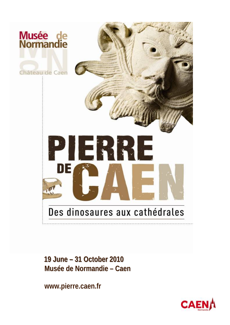

19 June - 31 October 2010 Musée de Normandie - Caen

www.pierre.caen.fr

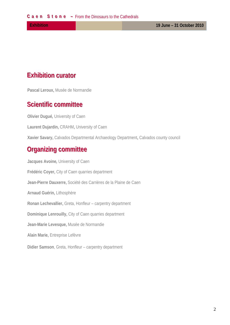## **Exhibition curator**

Pascal Leroux, Musée de Normandie

## **Scientific committee**

Olivier Duqué, University of Caen

Laurent Dujardin, CRAHM, University of Caen

Xavier Savary, Calvados Departmental Archaeology Department, Calvados county council

## **Organizing committee**

Jacques Avoine, University of Caen Frédéric Coyer, City of Caen quarries department Jean-Pierre Dauxerre, Société des Carrières de la Plaine de Caen Arnaud Guérin, Lithosphère Ronan Lechevallier, Greta, Honfleur - carpentry department Dominique Lenrouilly, City of Caen quarries department Jean-Marie Levesque, Musée de Normandie Alain Marie, Entreprise Lefèvre Didier Samson, Greta, Honfleur - carpentry department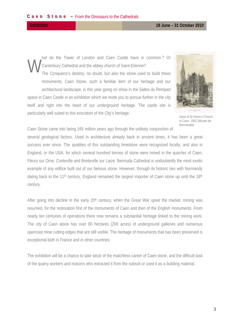century.

hat do the Tower of London and Caen Castle have in common? Or Canterbury Cathedral and the abbey church of Saint-Etienne? The Conqueror's destiny, no doubt, but also the stone used to build these monuments. Caen Stone, such a familiar item of our heritage and our architectural landscape, is this year going on show in the Salles du Rempart space in Caen Castle in an exhibition which we invite you to pursue further in the city itself and right into the heart of our underground heritage. The castle site is particularly well suited to this evocation of the City's heritage.



Apse of St Pierre's Church in Caen. 1852 (Musée de Normandie)

Caen Stone came into being 165 million years ago through the unlikely conjunction of several geological factors. Used in architecture already back in ancient times, it has been a great success ever since. The qualities of this outstanding limestone were recognized locally, and also in England, or the USA, for which several hundred tonnes of stone were mined in the quarries of Caen, Fleury sur Orne, Conteville and Bretteville sur Laize. Bermuda Cathedral is undoubtedly the most exotic example of any edifice built out of our famous stone. However, through its historic ties with Normandy dating back to the 11<sup>th</sup> century, England remained the largest importer of Caen stone up until the 18<sup>th</sup>

After going into decline in the early 20<sup>th</sup> century, when the Great War upset the market, mining was resumed, for the restoration first of the monuments of Caen and then of the English monuments. From nearly ten centuries of operations there now remains a substantial heritage linked to the mining work. The city of Caen alone has over 80 hectares (200 acres) of underground galleries and numerous opencast mine cutting edges that are still visible. The heritage of monuments that has been preserved is exceptional both in France and in other countries.

The exhibition will be a chance to take stock of the matchless career of Caen stone, and the difficult task of the quarry workers and masons who extracted it from the subsoil or used it as a building material.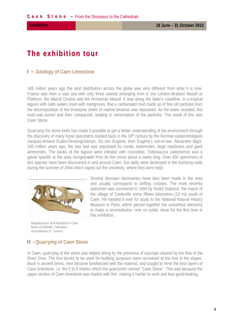# The exhibition tour

#### I - Geology of Caen Limestone

165 million years ago the land distribution across the globe was very different from what it is now. France was then a vast sea with only three islands emerging from it: the London-Brabant Massif or Platform, the Massif Central and the Armorican Massif. It was along the latter's coastline, in a tropical lagoon with calm waters lined with mangroves, that a carbonated mud made up of fine silt particles from the decomposition of the limestone shells of marine bivalves was deposited. As the water receded, this mud was buried and then compacted, leading to cementation of the particles. The result of this was Caen Stone.

Quarrying the stone beds has made it possible to get a better understanding of the environment through the discovery of many fossil specimens studied back in the 19th century by the Norman palaeontologists Jacques-Amand Eudes-Deslongchamps, his son Eugène, then Eugène's son-in-law, Alexandre Bigot. 165 million years ago, the sea bed was populated by corals, belemnites, large nautiluses and giant ammonites. The banks of the lagoon were infested with crocodiles. Teleosaurus cadomensis was a gavial specific to the area recognizable from its thin snout about a metre long. Over 450 specimens of this species have been discovered in and around Caen, but sadly were destroyed in the bombing raids during the summer of 1944 which wiped out the university, where they were kept.



Megalosaurus skull fossilized in Caen Stone (Conteville, Calvados) reconstitution (P. Leroux)

Several dinosaur discoveries have also been made in the area and usually correspond to drifting corpses. The most recently specimen was uncovered in 1994 by André Dubreuil, the mayor of the village of Conteville some fifteen kilometres (10 mi) south of Caen. He handed it over for study to the National Natural History Museum in Paris, which pieced together the unearthed elements to make a reconstitution, now on public show for the first time in this exhibition

#### **II - Quarrying of Caen Stone**

In Caen, guarrying of the stone was helped along by the presence of outcrops cleared by the flow of the River Orne. The first blocks to be used for building purposes were recovered at the foot of the slopes. Back in ancient times, men became familiarized with the material, and sought to mine the best layers of Caen limestone, i.e. the 5 to 6 metres which the quarrymen named "Caen Stone". This was because the upper section of Caen limestone was loaded with flint, making it harder to work and less good-looking.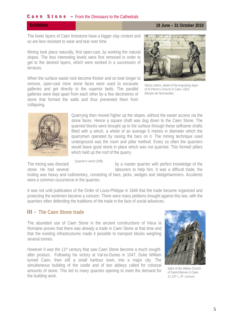#### **Caen Stone** – From the Dinosaurs to the Cathedrals

**Exhibition 19 June – 31 October 2010** 

The lower layers of Caen limestone have a bigger clay content and so are less resistant to wear and tear over time.

Mining took place naturally, first open-cast, by working the natural slopes. The less interesting levels were first removed in order to get to the desired layers, which were worked in a succession of terraces.

When the surface waste rock become thicker and so took longer to remove, open-cast mine stone faces were used to excavate galleries and get directly to the superior beds. The parallel galleries were kept apart from each other by a few decimetres of stone that formed the walls and thus prevented them from collapsing.



Stone cutters, detail of the engraving Apse of St Pierre's Church in Caen.-1852 (Musée de Normandie)



Quarrying then moved higher up the slopes, without the easier access via the stone faces. Hence a square shaft was dug down to the Caen Stone. The quarried blocks were brought up to the surface through these selfsame shafts fitted with a winch, a wheel of an average 6 metres in diameter which the quarrymen operated by raising the bars on it. The mining technique used underground was the room and pillar method. Every so often the quarriers would leave good stone in place which was not quarried. This formed pillars which held up the roof of the quarry.

Quarrier's winch (DR)

The mining was directed comments when they a master quarrier with perfect knowledge of the stone. He had several **interval in the set of the set of the him.** It was a difficult trade, the

tooling was heavy and rudimentary, consisting of bars, picks, wedges and sledgehammers. Accidents were a common occurrence in the quarries.

It was not until publication of the Order of Louis-Philippe in 1848 that the trade became organized and protecting the workmen became a concern. There were many petitions brought against this law, with the quarriers often defending the traditions of the trade in the face of social advances.

### **III** • The Caen Stone trade

The abundant use of Caen Stone in the ancient constructions of Vieux la Romaine proves that there was already a trade in Caen Stone at that time and that the existing infrastructures made it possible to transport blocks weighing several tonnes.

However it was the 11<sup>th</sup> century that saw Caen Stone become a much soughtafter product. Following his victory at Val-es-Dunes in 1047, Duke William turned Caen, then still a small harbour town, into a major city. The simultaneous building of the castle and of two abbeys called for colossal amounts of stone. This led to many quarries opening to meet the demand for the building work.



Spire of the Abbey Church of Saint-Etienne in Caen 11-13th c. (P. Leroux)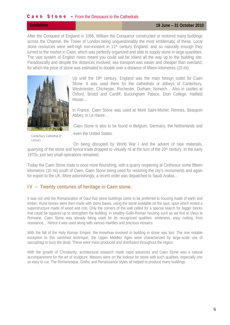#### **Caen Stone** – From the Dinosaurs to the Cathedrals

After the Conquest of England in 1066, William the Conqueror constructed or restored many buildings across the Channel, the Tower of London being unquestionably the most emblematic of these. Local stone resources were well-nigh non-existent in 11<sup>th</sup> century England, and so naturally enough they turned to the market in Caen, which was perfectly organized and able to supply stone in large quantities. The vast system of English rivers meant you could sail far inland all the way up to the building site. Paradoxically and despite the distances involved, sea transport was easier and cheaper than overland, for which the price of stone was estimated to double over a distance of fifteen kilometres (10 mi).



Up until the 19<sup>th</sup> century, England was the main foreign outlet for Caen Stone. It was used there for the cathedrals or abbeys of Canterbury, Westminster, Chichester, Rochester, Durham, Norwich… Also in castles at Oxford, Bristol and Cardiff, Buckingham Palace, Eton College, Hatfield House…

In France, Caen Stone was used at Mont Saint-Michel, Rennes, Beauport Abbey, in Le Havre…

Caen Stone is also to be found in Belgium, Germany, the Netherlands and

Canterbury Cathedral (P. Leroux)

even the United States.

On being disrupted by World War I and the advent of new materials, quarrying of the stone and hence trade dropped to virtually nil at the turn of the 20<sup>th</sup> century. In the early 1970s, just two small operations remained.

Today the Caen Stone trade is once more flourishing, with a quarry reopening at Cintheaux some fifteen kilometres (10 mi) south of Caen, Caen Stone being used for restoring the city's monuments and again for export to the UK. More astonishingly, a recent order was dispatched to Saudi Arabia…

#### **I V – Twenty centuries of heritage in Caen stone.**

It was not until the Romanization of Gaul that stone buildings came to be preferred to housing made of earth and timber. Rural homes were then made with stone bases, using the stone available on the spot, upon which rested a superstructure made of wood and cob. Only the corners of the wall called for a special search for bigger blocks that could be squared up to strengthen the building. In wealthy Gallo-Roman housing such as we find at Vieux la Romaine, Caen Stone was already being used for its recognized qualities: whiteness, easy cutting, frost resistance… Hence it was used along with various marbles and precious mosaics.

With the fall of the Holy Roman Empire, the knowhow involved in building in stone was lost. The one notable exception to this vanished technique, the Upper Middles Ages were characterized by large-scale use of sarcophagi to bury the dead. These were mass produced and distributed throughout the region.

With the growth of Christianity, architectural research made rapid advances and Caen Stone was a natural accompaniment for the art of sculpture. Masons were on the lookout for stone with such qualities, especially one so easy to cut. The Romanesque, Gothic and Renaissance styles all helped to produce many buildings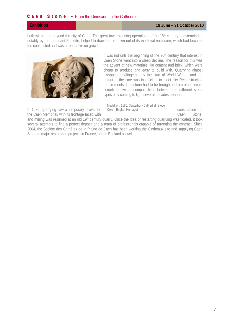both within and beyond the city of Caen. The great town planning operations of the 18th century, masterminded notably by the Intendant Fontette, helped to draw the old town out of its medieval enclosure, which had become too constricted and was a real brake on growth.



It was not until the beginning of the 20<sup>th</sup> century that interest in Caen Stone went into a steep decline. The reason for this was the advent of new materials like cement and brick, which were cheap to produce and easy to build with. Quarrying almost disappeared altogether by the start of World War II, and the output at the time was insufficient to meet city Reconstruction requirements. Limestone had to be brought in from other areas, sometimes with incompatibilities between the different stone types only coming to light several decades later on.

Medallion, 1180. Canterbury Cathedral (Steve Cole - English Heritage)

In 1986, quarrying saw a temporary revival for the Caen Memorial, with its frontage faced with construction of Caen Stone.

and mining was resumed at an old 19<sup>th</sup> century quarry. Once the idea of restarting quarrying was floated, it took several attempts to find a perfect deposit and a team of professionals capable of arranging the contract. Since 2004, the Société des Carrières de la Plaine de Caen has been working the Cintheaux site and supplying Caen Stone to major restoration projects in France, and in England as well.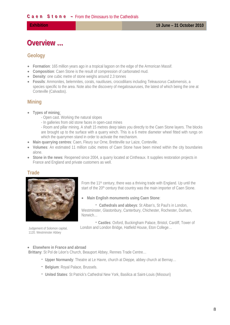# **Overview ...**

### **Geology**

- **Formation**: 165 million years ago in a tropical lagoon on the edge of the Armorican Massif.
- **Composition**: Caen Stone is the result of compression of carbonated mud.
- **Density**: one cubic metre of stone weighs around 2.3 tonnes
- **Fossils**: Ammonites, belemnites, corals, nautiluses, crocodilians including *Teleausorus Cadomensis*, a species specific to the area. Note also the discovery of megalosauruses, the latest of which being the one at Conteville (Calvados).

### **Mining**

- **Types of mining**:
	- Open cast. Working the natural slopes
	- In galleries from old stone faces in open-cast mines
	- Room and pillar mining. A shaft 15 metres deep takes you directly to the Caen Stone layers. The blocks are brought up to the surface with a quarry winch. This is a 6 metre diameter wheel fitted with rungs on which the quarrymen stand in order to activate the mechanism.
- **Main quarrying centres**: Caen, Fleury sur Orne, Bretteville sur Laize, Conteville.
- **Volumes**: An estimated 11 million cubic metres of Caen Stone have been mined within the city boundaries alone.
- **Stone in the news**: Reopened since 2004, a quarry located at Cintheaux. It supplies restoration projects in France and England and private customers as well.

### **Trade**



1120. Westminster Abbey

From the 11th century, there was a thriving trade with England. Up until the start of the 20<sup>th</sup> century that country was the main importer of Caen Stone.

**Main English monuments using Caen Stone**:

- **Cathedrals and abbeys**: St Alban's, St Paul's in London, Westminster, Glastonbury, Canterbury, Chichester, Rochester, Durham, Norwich…

- **Castles**: Oxford, Buckingham Palace, Bristol, Cardiff, Tower of Judgement of Solomon capital, London and London Bridge, Hatfield House, Eton College...

#### **Elsewhere in France and abroad**

 **Brittany**: St Pol de Léon's Church, Beauport Abbey, Rennes Trade Centre…

- - **Upper Normandy**: Theatre at Le Havre, church at Dieppe, abbey church at Bernay…
- - **Belgium**: Royal Palace, Brussels.
- - **United States**: St Patrick's Cathedral New York, Basilica at Saint-Louis (Missouri)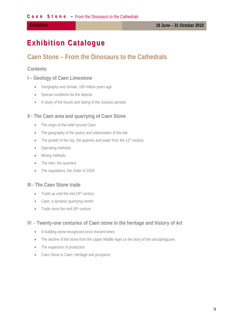# **Exhibition Catalogue**

## Caen Stone – From the Dinosaurs to the Cathedrals

#### **Contents**

#### I - Geology of Caen Limestone

- Geography and climate, 165 million years ago
- Special conditions for the deposit
- A study of the fossils and dating of the Jurassic periods

#### II - The Caen area and quarrying of Caen Stone

- The origin of the relief around Caen  $\bullet$
- The geography of the quarry and urbanization of the site  $\bullet$
- The growth of the city, the quarries and water from the  $11<sup>th</sup>$  century
- Operating methods
- Mining methods
- The men, the quarriers
- The regulations, the Order of 1838

#### III - The Caen Stone trade

- Trade up until the mid-19th century  $\bullet$
- Caen, a dynamic quarrying centre
- $\bullet$  Trade since the mid-19th century

#### IV - Twenty-one centuries of Caen stone in the heritage and history of Art

- A building stone recognized since Ancient times  $\bullet$
- The decline of the stone from the Upper Middle Ages or the story of the sarcophaguses
- The expansion of production
- Caen Stone in Caen. Heritage and prospects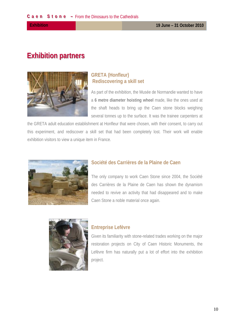## **Exhibition partners**



### **GRETA (Honfleur) Rediscovering a skill set**

As part of the exhibition, the Musée de Normandie wanted to have a 6 metre diameter hoisting wheel made, like the ones used at the shaft heads to bring up the Caen stone blocks weighing several tonnes up to the surface. It was the trainee carpenters at

the GRETA adult education establishment at Honfleur that were chosen, with their consent, to carry out this experiment, and rediscover a skill set that had been completely lost. Their work will enable exhibition visitors to view a unique item in France.



#### Société des Carrières de la Plaine de Caen

The only company to work Caen Stone since 2004, the Société des Carrières de la Plaine de Caen has shown the dynamism needed to revive an activity that had disappeared and to make Caen Stone a noble material once again.



#### **Entreprise Lefèvre**

Given its familiarity with stone-related trades working on the major restoration projects on City of Caen Historic Monuments, the Lefèvre firm has naturally put a lot of effort into the exhibition project.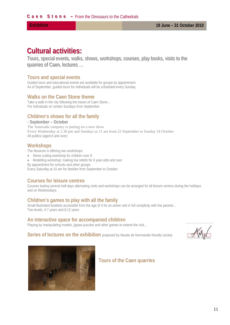## **Cultural activities:**

Tours, special events, walks, shows, workshops, courses, play books, visits to the quarries of Caen, lectures ...

#### **Tours and special events**

Guided tours and educational events are available for groups by appointment. As of September, guided tours for individuals will be scheduled every Sunday.

#### **Walks on the Caen Stone theme**

Take a walk in the city following the traces of Caen Stone… For individuals on certain Sundays from September.

#### **Children's shows for all the family**

#### **- September – October**

The Amavada company is putting on a new show Every Wednesday at 2.30 pm and Sundays at 11 am from 22 September to Sunday 24 October All publics (aged 8 and over)

#### **Workshops**

.

The Museum is offering two workshops:

- Stone cutting workshop for children over 8
- Modelling workshop: making low reliefs for 6 year-olds and over
- By appointment for schools and other groups

Every Saturday at 10 am for families from September to October

#### **Courses for leisure centres**

Courses lasting several half-days alternating visits and workshops can be arranged for all leisure centres during the holidays and on Wednesdays.

#### **Children's games to play with all the family**

Small illustrated booklets accessible from the age of 4 for an active visit in full complicity with the parents... Two levels, 4-7 years and 8-12 years

#### **An interactive space for accompanied children**

Playing by manipulating models, jigsaw puzzles and other games to extend the visit...

**Series of lectures on the exhibition** proposed by Musée de Normandie friendly society



#### **Tours of the Caen quarries**